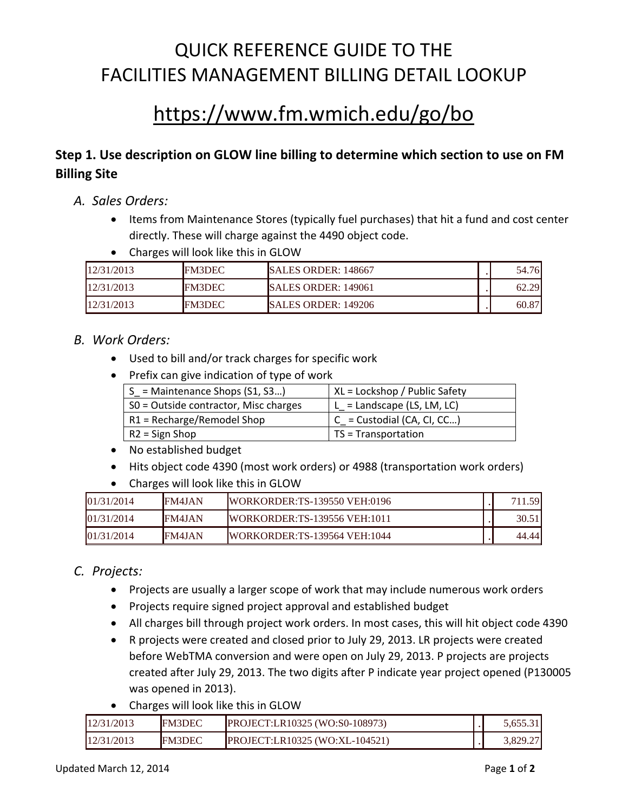## QUICK REFERENCE GUIDE TO THE FACILITIES MANAGEMENT BILLING DETAIL LOOKUP

# https://www.fm.wmich.edu/go/bo

### **Step 1. Use description on GLOW line billing to determine which section to use on FM Billing Site**

- *A. Sales Orders:* 
	- Items from Maintenance Stores (typically fuel purchases) that hit a fund and cost center directly. These will charge against the 4490 object code.
	- Charges will look like this in GLOW

| 12/31/2013 | <b>FM3DEC</b> | <b>ISALES ORDER: 148667</b> | 54.76 |
|------------|---------------|-----------------------------|-------|
| 12/31/2013 | <b>FM3DEC</b> | <b>SALES ORDER: 149061</b>  | 62.29 |
| 12/31/2013 | <b>FM3DEC</b> | <b>SALES ORDER: 149206</b>  | 60.87 |

### *B. Work Orders:*

- Used to bill and/or track charges for specific work
- Prefix can give indication of type of work

| $S =$ Maintenance Shops (S1, S3)      | XL = Lockshop / Public Safety |
|---------------------------------------|-------------------------------|
| SO = Outside contractor, Misc charges | $L =$ Landscape (LS, LM, LC)  |
| $R1 = Recharge/Remodel Shop$          | $C =$ Custodial (CA, CI, CC)  |
| $R2 =$ Sign Shop                      | $TS = Transportation$         |

- No established budget
- Hits object code 4390 (most work orders) or 4988 (transportation work orders)
- Charges will look like this in GLOW

| 01/31/2014 | <b>FM4JAN</b> | <b>IWORKORDER:TS-139550 VEH:0196</b> | -59<br>711 |
|------------|---------------|--------------------------------------|------------|
| 01/31/2014 | <b>FM4JAN</b> | <b>IWORKORDER:TS-139556 VEH:1011</b> | 30.51      |
| 01/31/2014 | <b>FM4JAN</b> | <b>IWORKORDER:TS-139564 VEH:1044</b> | 44.44      |

### *C. Projects:*

- Projects are usually a larger scope of work that may include numerous work orders
- Projects require signed project approval and established budget
- All charges bill through project work orders. In most cases, this will hit object code 4390
- R projects were created and closed prior to July 29, 2013. LR projects were created before WebTMA conversion and were open on July 29, 2013. P projects are projects created after July 29, 2013. The two digits after P indicate year project opened (P130005 was opened in 2013).
- Charges will look like this in GLOW

| 12/31/2013 | <b>FM3DEC</b> | <b>PROJECT:LR10325 (WO:S0-108973)</b> | 5.655.31 |
|------------|---------------|---------------------------------------|----------|
| 12/31/2013 | <b>FM3DEC</b> | <b>PROJECT:LR10325 (WO:XL-104521)</b> | 3.829.27 |